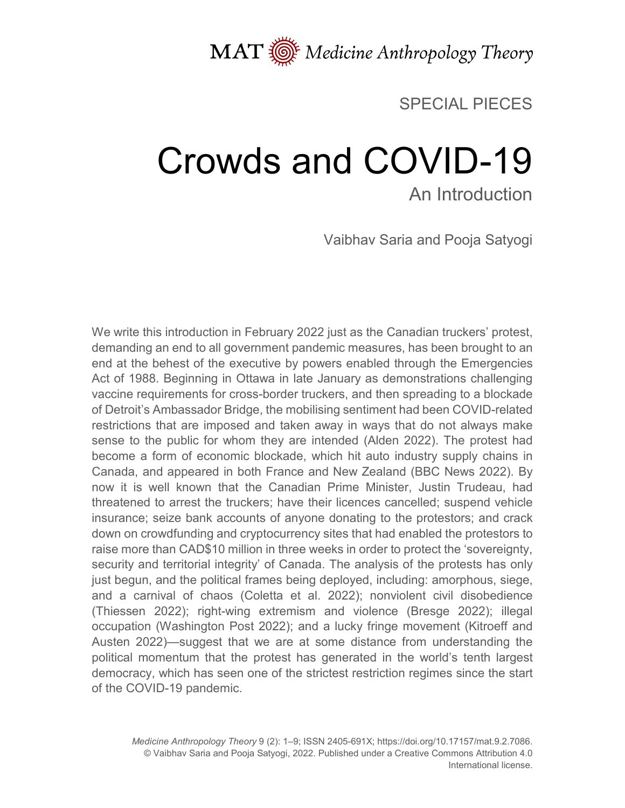

#### SPECIAL PIECES

# Crowds and COVID-19 An Introduction

Vaibhav Saria and Pooja Satyogi

We write this introduction in February 2022 just as the Canadian truckers' protest, demanding an end to all government pandemic measures, has been brought to an end at the behest of the executive by powers enabled through the Emergencies Act of 1988. Beginning in Ottawa in late January as demonstrations challenging vaccine requirements for cross-border truckers, and then spreading to a blockade of Detroit's Ambassador Bridge, the mobilising sentiment had been COVID-related restrictions that are imposed and taken away in ways that do not always make sense to the public for whom they are intended (Alden 2022). The protest had become a form of economic blockade, which hit auto industry supply chains in Canada, and appeared in both France and New Zealand (BBC News 2022). By now it is well known that the Canadian Prime Minister, Justin Trudeau, had threatened to arrest the truckers; have their licences cancelled; suspend vehicle insurance; seize bank accounts of anyone donating to the protestors; and crack down on crowdfunding and cryptocurrency sites that had enabled the protestors to raise more than CAD\$10 million in three weeks in order to protect the 'sovereignty, security and territorial integrity' of Canada. The analysis of the protests has only just begun, and the political frames being deployed, including: amorphous, siege, and a carnival of chaos (Coletta et al. 2022); nonviolent civil disobedience (Thiessen 2022); right-wing extremism and violence (Bresge 2022); illegal occupation (Washington Post 2022); and a lucky fringe movement (Kitroeff and Austen 2022)—suggest that we are at some distance from understanding the political momentum that the protest has generated in the world's tenth largest democracy, which has seen one of the strictest restriction regimes since the start of the COVID-19 pandemic.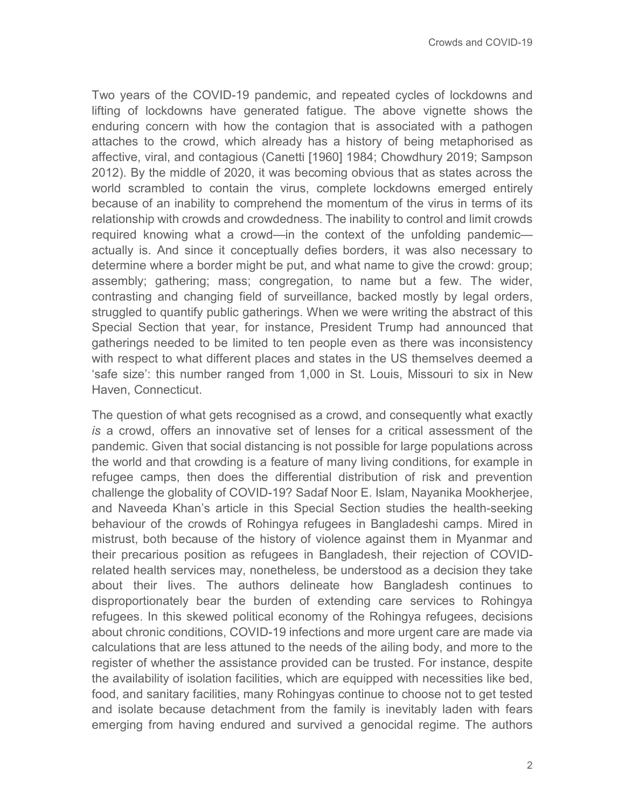Two years of the COVID-19 pandemic, and repeated cycles of lockdowns and lifting of lockdowns have generated fatigue. The above vignette shows the enduring concern with how the contagion that is associated with a pathogen attaches to the crowd, which already has a history of being metaphorised as affective, viral, and contagious (Canetti [1960] 1984; Chowdhury 2019; Sampson 2012). By the middle of 2020, it was becoming obvious that as states across the world scrambled to contain the virus, complete lockdowns emerged entirely because of an inability to comprehend the momentum of the virus in terms of its relationship with crowds and crowdedness. The inability to control and limit crowds required knowing what a crowd—in the context of the unfolding pandemic actually is. And since it conceptually defies borders, it was also necessary to determine where a border might be put, and what name to give the crowd: group; assembly; gathering; mass; congregation, to name but a few. The wider, contrasting and changing field of surveillance, backed mostly by legal orders, struggled to quantify public gatherings. When we were writing the abstract of this Special Section that year, for instance, President Trump had announced that gatherings needed to be limited to ten people even as there was inconsistency with respect to what different places and states in the US themselves deemed a 'safe size': this number ranged from 1,000 in St. Louis, Missouri to six in New Haven, Connecticut.

The question of what gets recognised as a crowd, and consequently what exactly *is* a crowd, offers an innovative set of lenses for a critical assessment of the pandemic. Given that social distancing is not possible for large populations across the world and that crowding is a feature of many living conditions, for example in refugee camps, then does the differential distribution of risk and prevention challenge the globality of COVID-19? Sadaf Noor E. Islam, Nayanika Mookherjee, and Naveeda Khan's article in this Special Section studies the health-seeking behaviour of the crowds of Rohingya refugees in Bangladeshi camps. Mired in mistrust, both because of the history of violence against them in Myanmar and their precarious position as refugees in Bangladesh, their rejection of COVIDrelated health services may, nonetheless, be understood as a decision they take about their lives. The authors delineate how Bangladesh continues to disproportionately bear the burden of extending care services to Rohingya refugees. In this skewed political economy of the Rohingya refugees, decisions about chronic conditions, COVID-19 infections and more urgent care are made via calculations that are less attuned to the needs of the ailing body, and more to the register of whether the assistance provided can be trusted. For instance, despite the availability of isolation facilities, which are equipped with necessities like bed, food, and sanitary facilities, many Rohingyas continue to choose not to get tested and isolate because detachment from the family is inevitably laden with fears emerging from having endured and survived a genocidal regime. The authors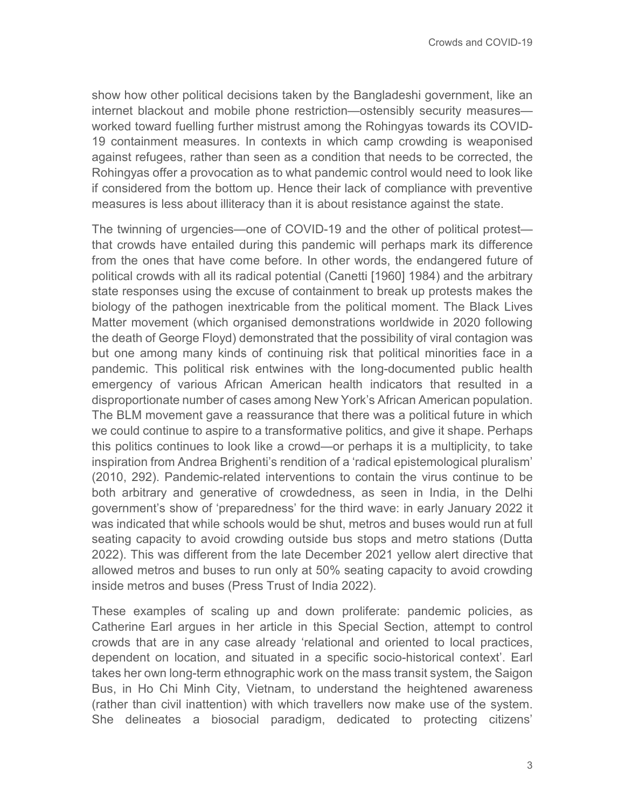show how other political decisions taken by the Bangladeshi government, like an internet blackout and mobile phone restriction—ostensibly security measures worked toward fuelling further mistrust among the Rohingyas towards its COVID-19 containment measures. In contexts in which camp crowding is weaponised against refugees, rather than seen as a condition that needs to be corrected, the Rohingyas offer a provocation as to what pandemic control would need to look like if considered from the bottom up. Hence their lack of compliance with preventive measures is less about illiteracy than it is about resistance against the state.

The twinning of urgencies—one of COVID-19 and the other of political protest that crowds have entailed during this pandemic will perhaps mark its difference from the ones that have come before. In other words, the endangered future of political crowds with all its radical potential (Canetti [1960] 1984) and the arbitrary state responses using the excuse of containment to break up protests makes the biology of the pathogen inextricable from the political moment. The Black Lives Matter movement (which organised demonstrations worldwide in 2020 following the death of George Floyd) demonstrated that the possibility of viral contagion was but one among many kinds of continuing risk that political minorities face in a pandemic. This political risk entwines with the long-documented public health emergency of various African American health indicators that resulted in a disproportionate number of cases among New York's African American population. The BLM movement gave a reassurance that there was a political future in which we could continue to aspire to a transformative politics, and give it shape. Perhaps this politics continues to look like a crowd—or perhaps it is a multiplicity, to take inspiration from Andrea Brighenti's rendition of a 'radical epistemological pluralism' (2010, 292). Pandemic-related interventions to contain the virus continue to be both arbitrary and generative of crowdedness, as seen in India, in the Delhi government's show of 'preparedness' for the third wave: in early January 2022 it was indicated that while schools would be shut, metros and buses would run at full seating capacity to avoid crowding outside bus stops and metro stations (Dutta 2022). This was different from the late December 2021 yellow alert directive that allowed metros and buses to run only at 50% seating capacity to avoid crowding inside metros and buses (Press Trust of India 2022).

These examples of scaling up and down proliferate: pandemic policies, as Catherine Earl argues in her article in this Special Section, attempt to control crowds that are in any case already 'relational and oriented to local practices, dependent on location, and situated in a specific socio-historical context'. Earl takes her own long-term ethnographic work on the mass transit system, the Saigon Bus, in Ho Chi Minh City, Vietnam, to understand the heightened awareness (rather than civil inattention) with which travellers now make use of the system. She delineates a biosocial paradigm, dedicated to protecting citizens'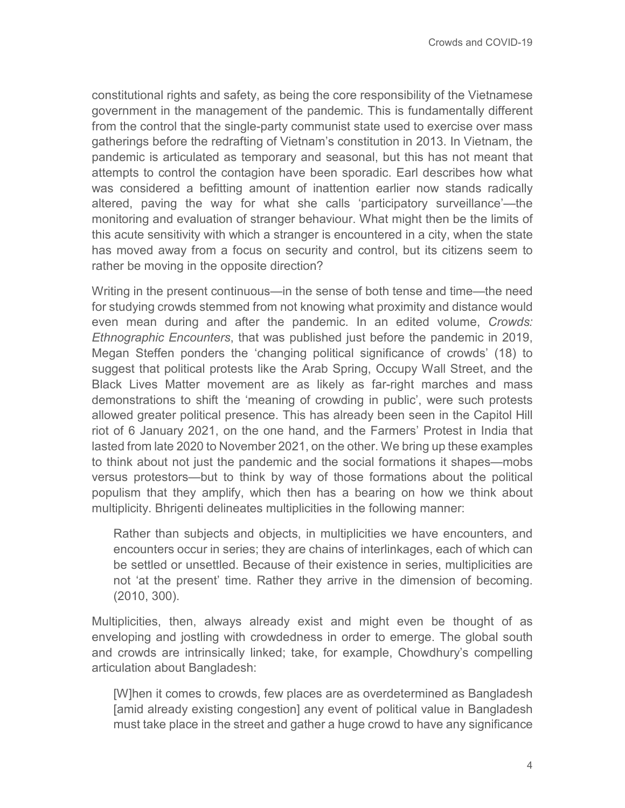constitutional rights and safety, as being the core responsibility of the Vietnamese government in the management of the pandemic. This is fundamentally different from the control that the single-party communist state used to exercise over mass gatherings before the redrafting of Vietnam's constitution in 2013. In Vietnam, the pandemic is articulated as temporary and seasonal, but this has not meant that attempts to control the contagion have been sporadic. Earl describes how what was considered a befitting amount of inattention earlier now stands radically altered, paving the way for what she calls 'participatory surveillance'—the monitoring and evaluation of stranger behaviour. What might then be the limits of this acute sensitivity with which a stranger is encountered in a city, when the state has moved away from a focus on security and control, but its citizens seem to rather be moving in the opposite direction?

Writing in the present continuous—in the sense of both tense and time—the need for studying crowds stemmed from not knowing what proximity and distance would even mean during and after the pandemic. In an edited volume, *Crowds: Ethnographic Encounters*, that was published just before the pandemic in 2019, Megan Steffen ponders the 'changing political significance of crowds' (18) to suggest that political protests like the Arab Spring, Occupy Wall Street, and the Black Lives Matter movement are as likely as far-right marches and mass demonstrations to shift the 'meaning of crowding in public', were such protests allowed greater political presence. This has already been seen in the Capitol Hill riot of 6 January 2021, on the one hand, and the Farmers' Protest in India that lasted from late 2020 to November 2021, on the other. We bring up these examples to think about not just the pandemic and the social formations it shapes—mobs versus protestors—but to think by way of those formations about the political populism that they amplify, which then has a bearing on how we think about multiplicity. Bhrigenti delineates multiplicities in the following manner:

Rather than subjects and objects, in multiplicities we have encounters, and encounters occur in series; they are chains of interlinkages, each of which can be settled or unsettled. Because of their existence in series, multiplicities are not 'at the present' time. Rather they arrive in the dimension of becoming. (2010, 300).

Multiplicities, then, always already exist and might even be thought of as enveloping and jostling with crowdedness in order to emerge. The global south and crowds are intrinsically linked; take, for example, Chowdhury's compelling articulation about Bangladesh:

[W]hen it comes to crowds, few places are as overdetermined as Bangladesh [amid already existing congestion] any event of political value in Bangladesh must take place in the street and gather a huge crowd to have any significance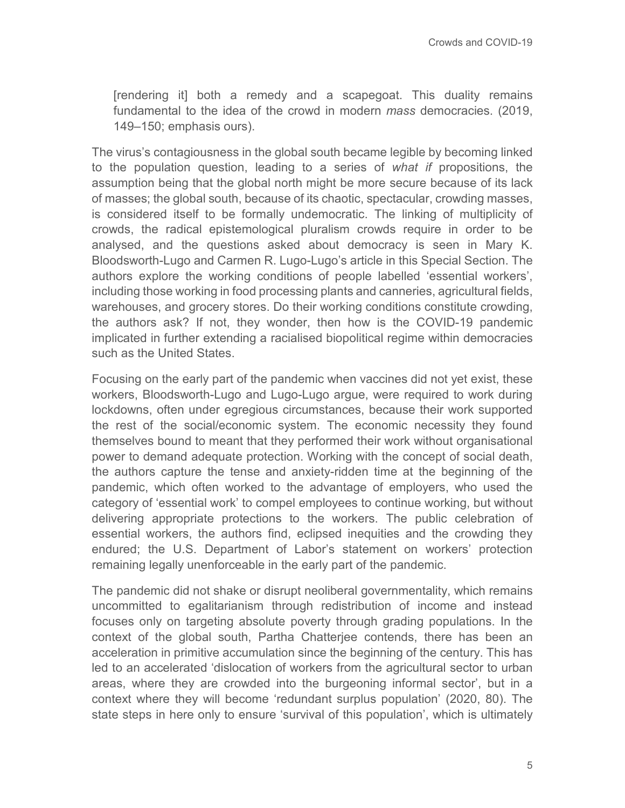[rendering it] both a remedy and a scapegoat. This duality remains fundamental to the idea of the crowd in modern *mass* democracies. (2019, 149–150; emphasis ours).

The virus's contagiousness in the global south became legible by becoming linked to the population question, leading to a series of *what if* propositions, the assumption being that the global north might be more secure because of its lack of masses; the global south, because of its chaotic, spectacular, crowding masses, is considered itself to be formally undemocratic. The linking of multiplicity of crowds, the radical epistemological pluralism crowds require in order to be analysed, and the questions asked about democracy is seen in Mary K. Bloodsworth-Lugo and Carmen R. Lugo-Lugo's article in this Special Section. The authors explore the working conditions of people labelled 'essential workers', including those working in food processing plants and canneries, agricultural fields, warehouses, and grocery stores. Do their working conditions constitute crowding, the authors ask? If not, they wonder, then how is the COVID-19 pandemic implicated in further extending a racialised biopolitical regime within democracies such as the United States.

Focusing on the early part of the pandemic when vaccines did not yet exist, these workers, Bloodsworth-Lugo and Lugo-Lugo argue, were required to work during lockdowns, often under egregious circumstances, because their work supported the rest of the social/economic system. The economic necessity they found themselves bound to meant that they performed their work without organisational power to demand adequate protection. Working with the concept of social death, the authors capture the tense and anxiety-ridden time at the beginning of the pandemic, which often worked to the advantage of employers, who used the category of 'essential work' to compel employees to continue working, but without delivering appropriate protections to the workers. The public celebration of essential workers, the authors find, eclipsed inequities and the crowding they endured; the U.S. Department of Labor's statement on workers' protection remaining legally unenforceable in the early part of the pandemic.

The pandemic did not shake or disrupt neoliberal governmentality, which remains uncommitted to egalitarianism through redistribution of income and instead focuses only on targeting absolute poverty through grading populations. In the context of the global south, Partha Chatterjee contends, there has been an acceleration in primitive accumulation since the beginning of the century. This has led to an accelerated 'dislocation of workers from the agricultural sector to urban areas, where they are crowded into the burgeoning informal sector', but in a context where they will become 'redundant surplus population' (2020, 80). The state steps in here only to ensure 'survival of this population', which is ultimately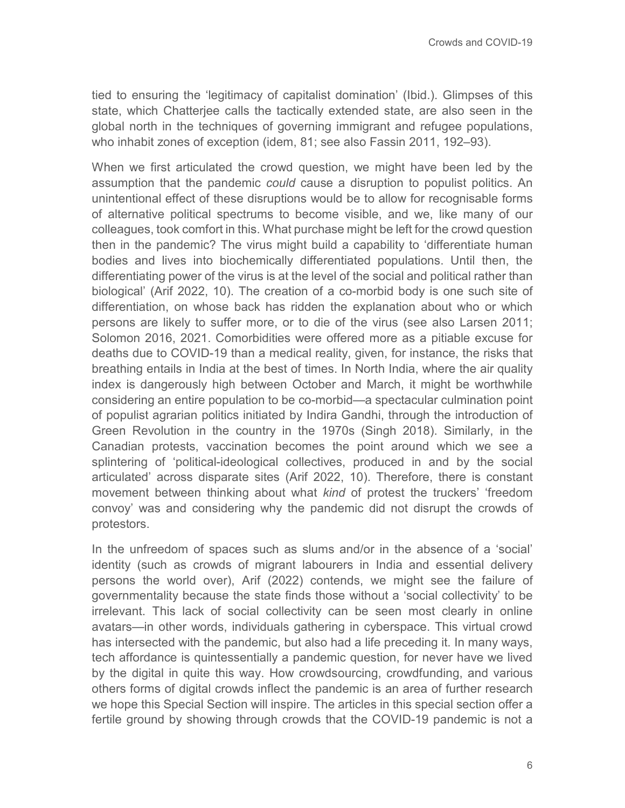tied to ensuring the 'legitimacy of capitalist domination' (Ibid.). Glimpses of this state, which Chatterjee calls the tactically extended state, are also seen in the global north in the techniques of governing immigrant and refugee populations, who inhabit zones of exception (idem, 81; see also Fassin 2011, 192–93).

When we first articulated the crowd question, we might have been led by the assumption that the pandemic *could* cause a disruption to populist politics. An unintentional effect of these disruptions would be to allow for recognisable forms of alternative political spectrums to become visible, and we, like many of our colleagues, took comfort in this. What purchase might be left for the crowd question then in the pandemic? The virus might build a capability to 'differentiate human bodies and lives into biochemically differentiated populations. Until then, the differentiating power of the virus is at the level of the social and political rather than biological' (Arif 2022, 10). The creation of a co-morbid body is one such site of differentiation, on whose back has ridden the explanation about who or which persons are likely to suffer more, or to die of the virus (see also Larsen 2011; Solomon 2016, 2021. Comorbidities were offered more as a pitiable excuse for deaths due to COVID-19 than a medical reality, given, for instance, the risks that breathing entails in India at the best of times. In North India, where the air quality index is dangerously high between October and March, it might be worthwhile considering an entire population to be co-morbid—a spectacular culmination point of populist agrarian politics initiated by Indira Gandhi, through the introduction of Green Revolution in the country in the 1970s (Singh 2018). Similarly, in the Canadian protests, vaccination becomes the point around which we see a splintering of 'political-ideological collectives, produced in and by the social articulated' across disparate sites (Arif 2022, 10). Therefore, there is constant movement between thinking about what *kind* of protest the truckers' 'freedom convoy' was and considering why the pandemic did not disrupt the crowds of protestors.

In the unfreedom of spaces such as slums and/or in the absence of a 'social' identity (such as crowds of migrant labourers in India and essential delivery persons the world over), Arif (2022) contends, we might see the failure of governmentality because the state finds those without a 'social collectivity' to be irrelevant. This lack of social collectivity can be seen most clearly in online avatars—in other words, individuals gathering in cyberspace. This virtual crowd has intersected with the pandemic, but also had a life preceding it. In many ways, tech affordance is quintessentially a pandemic question, for never have we lived by the digital in quite this way. How crowdsourcing, crowdfunding, and various others forms of digital crowds inflect the pandemic is an area of further research we hope this Special Section will inspire. The articles in this special section offer a fertile ground by showing through crowds that the COVID-19 pandemic is not a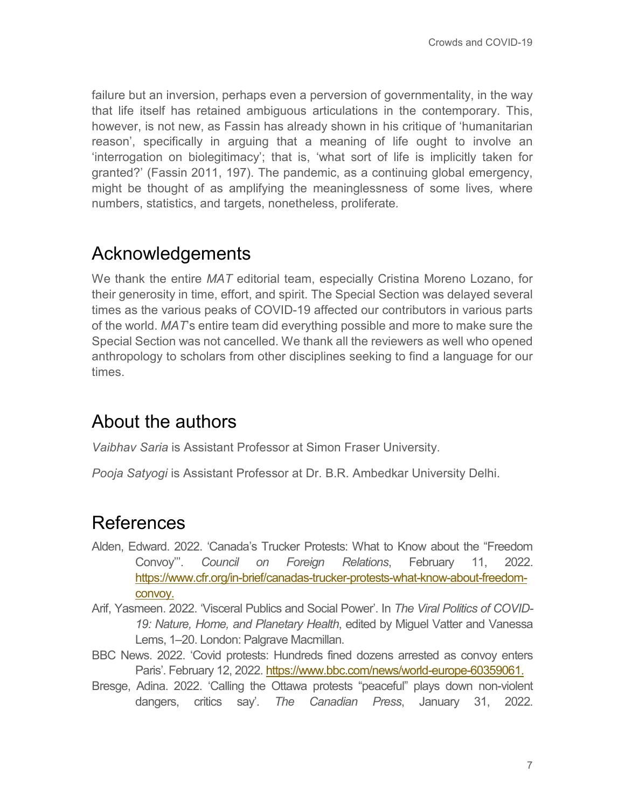failure but an inversion, perhaps even a perversion of governmentality, in the way that life itself has retained ambiguous articulations in the contemporary. This, however, is not new, as Fassin has already shown in his critique of 'humanitarian reason', specifically in arguing that a meaning of life ought to involve an 'interrogation on biolegitimacy'; that is, 'what sort of life is implicitly taken for granted?' (Fassin 2011, 197). The pandemic, as a continuing global emergency, might be thought of as amplifying the meaninglessness of some lives*,* where numbers, statistics, and targets, nonetheless, proliferate*.*

## Acknowledgements

We thank the entire *MAT* editorial team, especially Cristina Moreno Lozano, for their generosity in time, effort, and spirit. The Special Section was delayed several times as the various peaks of COVID-19 affected our contributors in various parts of the world. *MAT*'s entire team did everything possible and more to make sure the Special Section was not cancelled. We thank all the reviewers as well who opened anthropology to scholars from other disciplines seeking to find a language for our times.

## About the authors

*Vaibhav Saria* is Assistant Professor at Simon Fraser University.

*Pooja Satyogi* is Assistant Professor at Dr. B.R. Ambedkar University Delhi.

#### References

- Alden, Edward. 2022. 'Canada's Trucker Protests: What to Know about the "Freedom Convoy'''. *Council on Foreign Relations*, February 11, 2022. [https://www.cfr.org/in-brief/canadas-trucker-protests-what-know-about-freedom](https://www.cfr.org/in-brief/canadas-trucker-protests-what-know-about-freedom-convoy)[convoy.](https://www.cfr.org/in-brief/canadas-trucker-protests-what-know-about-freedom-convoy)
- Arif, Yasmeen. 2022. 'Visceral Publics and Social Power'. In *The Viral Politics of COVID-19: Nature, Home, and Planetary Health*, edited by Miguel Vatter and Vanessa Lems, 1–20. London: Palgrave Macmillan.
- BBC News. 2022. 'Covid protests: Hundreds fined dozens arrested as convoy enters Paris'. February 12, 2022. [https://www.bbc.com/news/world-europe-60359061.](https://www.bbc.com/news/world-europe-60359061)
- Bresge, Adina. 2022. 'Calling the Ottawa protests "peaceful" plays down non-violent dangers, critics say'. *The Canadian Press*, January 31, 2022.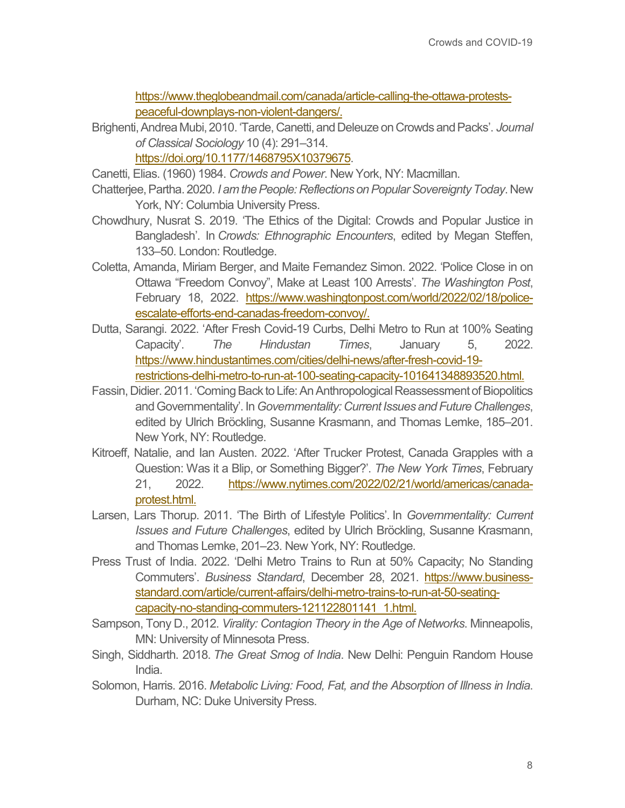[https://www.theglobeandmail.com/canada/article-calling-the-ottawa-protests](https://www.theglobeandmail.com/canada/article-calling-the-ottawa-protests-peaceful-downplays-non-violent-dangers/)[peaceful-downplays-non-violent-dangers/.](https://www.theglobeandmail.com/canada/article-calling-the-ottawa-protests-peaceful-downplays-non-violent-dangers/)

Brighenti, Andrea Mubi, 2010. 'Tarde, Canetti, and Deleuze on Crowds and Packs'. *Journal of Classical Sociology* 10 (4): 291–314. [https://doi.org/10.1177/1468795X10379675.](https://doi.org/10.1177%2F1468795X10379675)

Canetti, Elias. (1960) 1984. *Crowds and Power*. New York, NY: Macmillan.

- Chatterjee, Partha. 2020. *I am the People: Reflections on Popular Sovereignty Today*. New York, NY: Columbia University Press.
- Chowdhury, Nusrat S. 2019. 'The Ethics of the Digital: Crowds and Popular Justice in Bangladesh'. In *Crowds: Ethnographic Encounters*, edited by Megan Steffen, 133–50. London: Routledge.
- Coletta, Amanda, Miriam Berger, and Maite Fernandez Simon. 2022. 'Police Close in on Ottawa "Freedom Convoy", Make at Least 100 Arrests'. *The Washington Post*, February 18, 2022. [https://www.washingtonpost.com/world/2022/02/18/police](https://www.washingtonpost.com/world/2022/02/18/police-escalate-efforts-end-canadas-freedom-convoy/)[escalate-efforts-end-canadas-freedom-convoy/.](https://www.washingtonpost.com/world/2022/02/18/police-escalate-efforts-end-canadas-freedom-convoy/)
- Dutta, Sarangi. 2022. 'After Fresh Covid-19 Curbs, Delhi Metro to Run at 100% Seating Capacity'. *The Hindustan Times*, January 5, 2022. [https://www.hindustantimes.com/cities/delhi-news/after-fresh-covid-19](https://www.hindustantimes.com/cities/delhi-news/after-fresh-covid-19-restrictions-delhi-metro-to-run-at-100-seating-capacity-101641348893520.html) [restrictions-delhi-metro-to-run-at-100-seating-capacity-101641348893520.html.](https://www.hindustantimes.com/cities/delhi-news/after-fresh-covid-19-restrictions-delhi-metro-to-run-at-100-seating-capacity-101641348893520.html)
- Fassin, Didier. 2011. 'Coming Back to Life: An Anthropological Reassessment of Biopolitics and Governmentality'. In*Governmentality: Current Issues and Future Challenges*, edited by Ulrich Bröckling, Susanne Krasmann, and Thomas Lemke, 185–201. New York, NY: Routledge.
- Kitroeff, Natalie, and Ian Austen. 2022. 'After Trucker Protest, Canada Grapples with a Question: Was it a Blip, or Something Bigger?'. *The New York Times*, February 21, 2022. [https://www.nytimes.com/2022/02/21/world/americas/canada](https://www.nytimes.com/2022/02/21/world/americas/canada-protest.html)[protest.html.](https://www.nytimes.com/2022/02/21/world/americas/canada-protest.html)
- Larsen, Lars Thorup. 2011. 'The Birth of Lifestyle Politics'. In *Governmentality: Current Issues and Future Challenges*, edited by Ulrich Bröckling, Susanne Krasmann, and Thomas Lemke, 201–23. New York, NY: Routledge.
- Press Trust of India. 2022. 'Delhi Metro Trains to Run at 50% Capacity; No Standing Commuters'. *Business Standard*, December 28, 2021. [https://www.business](https://www.business-standard.com/article/current-affairs/delhi-metro-trains-to-run-at-50-seating-capacity-no-standing-commuters-121122801141_1.html)[standard.com/article/current-affairs/delhi-metro-trains-to-run-at-50-seating](https://www.business-standard.com/article/current-affairs/delhi-metro-trains-to-run-at-50-seating-capacity-no-standing-commuters-121122801141_1.html)[capacity-no-standing-commuters-121122801141\\_1.html.](https://www.business-standard.com/article/current-affairs/delhi-metro-trains-to-run-at-50-seating-capacity-no-standing-commuters-121122801141_1.html)
- Sampson, Tony D., 2012. *Virality: Contagion Theory in the Age of Networks*. Minneapolis, MN: University of Minnesota Press.
- Singh, Siddharth. 2018. *The Great Smog of India*. New Delhi: Penguin Random House India.
- Solomon, Harris. 2016. *Metabolic Living: Food, Fat, and the Absorption of Illness in India*. Durham, NC: Duke University Press.